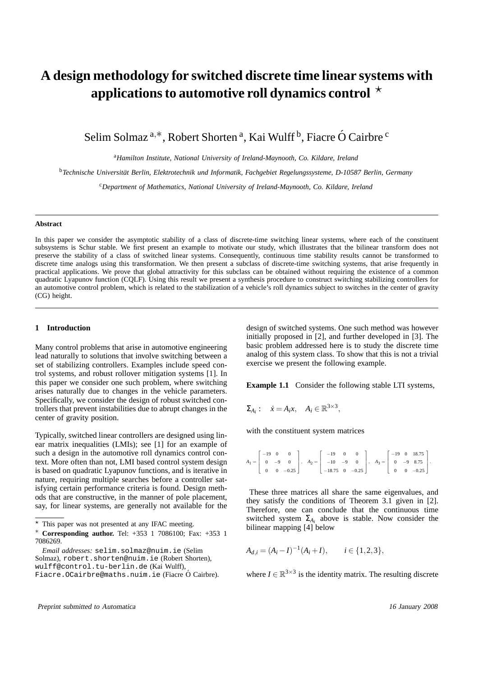# **A design methodology for switched discrete time linear systems with** applications to automotive roll dynamics control  $\star$

Selim Solmaz <sup>a,\*</sup>, Robert Shorten <sup>a</sup>, Kai Wulff <sup>b</sup>, Fiacre Ó Cairbre <sup>c</sup>

<sup>a</sup>*Hamilton Institute, National University of Ireland-Maynooth, Co. Kildare, Ireland*

<sup>b</sup>*Technische Universitat Berlin, Elektrotechnik und Informatik, Fachgebiet Regelungssysteme ¨ , D-10587 Berlin, Germany*

<sup>c</sup>*Department of Mathematics, National University of Ireland-Maynooth, Co. Kildare, Ireland*

### **Abstract**

In this paper we consider the asymptotic stability of a class of discrete-time switching linear systems, where each of the constituent subsystems is Schur stable. We first present an example to motivate our study, which illustrates that the bilinear transform does not preserve the stability of a class of switched linear systems. Consequently, continuous time stability results cannot be transformed to discrete time analogs using this transformation. We then present a subclass of discrete-time switching systems, that arise frequently in practical applications. We prove that global attractivity for this subclass can be obtained without requiring the existence of a common quadratic Lyapunov function (CQLF). Using this result we present a synthesis procedure to construct switching stabilizing controllers for an automotive control problem, which is related to the stabilization of a vehicle's roll dynamics subject to switches in the center of gravity (CG) height.

## **1 Introduction**

Many control problems that arise in automotive engineering lead naturally to solutions that involve switching between a set of stabilizing controllers. Examples include speed control systems, and robust rollover mitigation systems [1]. In this paper we consider one such problem, where switching arises naturally due to changes in the vehicle parameters. Specifically, we consider the design of robust switched controllers that prevent instabilities due to abrupt changes in the center of gravity position.

Typically, switched linear controllers are designed using linear matrix inequalities (LMIs); see [1] for an example of such a design in the automotive roll dynamics control context. More often than not, LMI based control system design is based on quadratic Lyapunov functions, and is iterative in nature, requiring multiple searches before a controller satisfying certain performance criteria is found. Design methods that are constructive, in the manner of pole placement, say, for linear systems, are generally not available for the design of switched systems. One such method was however initially proposed in [2], and further developed in [3]. The basic problem addressed here is to study the discrete time analog of this system class. To show that this is not a trivial exercise we present the following example.

**Example 1.1** Consider the following stable LTI systems,

$$
\Sigma_{A_i}: \quad \dot{x} = A_i x, \quad A_i \in \mathbb{R}^{3 \times 3},
$$

with the constituent system matrices

$$
A_1 = \begin{bmatrix} -19 & 0 & 0 \\ 0 & -9 & 0 \\ 0 & 0 & -0.25 \end{bmatrix}, \quad A_2 = \begin{bmatrix} -19 & 0 & 0 \\ -10 & -9 & 0 \\ -18.75 & 0 & -0.25 \end{bmatrix}, \quad A_3 = \begin{bmatrix} -19 & 0 & 18.75 \\ 0 & -9 & 8.75 \\ 0 & 0 & -0.25 \end{bmatrix}.
$$

These three matrices all share the same eigenvalues, and they satisfy the conditions of Theorem 3.1 given in [2]. Therefore, one can conclude that the continuous time switched system  $\Sigma_{A_i}$  above is stable. Now consider the bilinear mapping [4] below

$$
A_{d,i} = (A_i - I)^{-1} (A_i + I), \qquad i \in \{1, 2, 3\},\
$$

where  $I \in \mathbb{R}^{3 \times 3}$  is the identity matrix. The resulting discrete

This paper was not presented at any IFAC meeting.

<sup>∗</sup> **Corresponding author.** Tel: +353 1 7086100; Fax: +353 1 7086269.

*Email addresses:* selim.solmaz@nuim.ie (Selim Solmaz), robert.shorten@nuim.ie (Robert Shorten), wulff@control.tu-berlin.de (Kai Wulff),

Fiacre. OCairbre@maths.nuim.ie (Fiacre Ó Cairbre).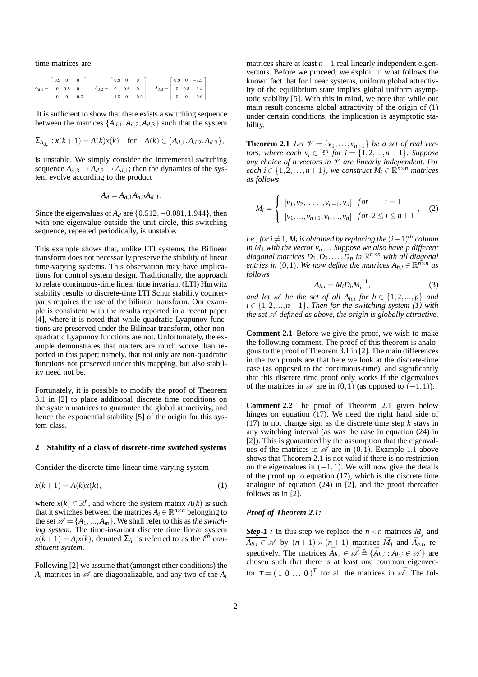time matrices are

$$
A_{d,1} = \begin{bmatrix} 0.9 & 0 & 0 \\ 0 & 0.8 & 0 \\ 0 & 0 & -0.6 \end{bmatrix}, A_{d,2} = \begin{bmatrix} 0.9 & 0 & 0 \\ 0.1 & 0.8 & 0 \\ 1.5 & 0 & -0.6 \end{bmatrix}, A_{d,3} = \begin{bmatrix} 0.9 & 0 & -1.5 \\ 0 & 0.8 & -1.4 \\ 0 & 0 & -0.6 \end{bmatrix}
$$

It is sufficient to show that there exists a switching sequence between the matrices  $\{A_{d,1}, A_{d,2}, A_{d,3}\}$  such that the system

1  $\mathbf{I}$  $\overline{1}$  $\mathbf{I}$ .

$$
\Sigma_{A_{d,i}}: x(k+1) = A(k)x(k) \text{ for } A(k) \in \{A_{d,1}, A_{d,2}, A_{d,3}\},
$$

is unstable. We simply consider the incremental switching sequence  $A_{d,3} \rightarrow A_{d,2} \rightarrow A_{d,1}$ ; then the dynamics of the system evolve according to the product

$$
A_d = A_{d,1} A_{d,2} A_{d,3}.
$$

Since the eigenvalues of *A<sup>d</sup>* are {0.512,−0.081,1.944}, then with one eigenvalue outside the unit circle, this switching sequence, repeated periodically, is unstable.

This example shows that, unlike LTI systems, the Bilinear transform does not necessarily preserve the stability of linear time-varying systems. This observation may have implications for control system design. Traditionally, the approach to relate continuous-time linear time invariant (LTI) Hurwitz stability results to discrete-time LTI Schur stability counterparts requires the use of the bilinear transform. Our example is consistent with the results reported in a recent paper [4], where it is noted that while quadratic Lyapunov functions are preserved under the Bilinear transform, other nonquadratic Lyapunov functions are not. Unfortunately, the example demonstrates that matters are much worse than reported in this paper; namely, that not only are non-quadratic functions not preserved under this mapping, but also stability need not be.

Fortunately, it is possible to modify the proof of Theorem 3.1 in [2] to place additional discrete time conditions on the system matrices to guarantee the global attractivity, and hence the exponential stability [5] of the origin for this system class.

#### **2 Stability of a class of discrete-time switched systems**

Consider the discrete time linear time-varying system

$$
x(k+1) = A(k)x(k),\tag{1}
$$

where  $x(k) \in \mathbb{R}^n$ , and where the system matrix  $A(k)$  is such that it switches between the matrices  $A_i \in \mathbb{R}^{n \times n}$  belonging to the set  $\mathcal{A} = \{A_1, ..., A_m\}$ . We shall refer to this as *the switching system*. The time-invariant discrete time linear system  $x(k+1) = A_i x(k)$ , denoted  $\Sigma_{A_i}$  is referred to as the *i*<sup>th</sup> con*stituent system*.

Following [2] we assume that (amongst other conditions) the  $A_i$  matrices in  $\mathscr A$  are diagonalizable, and any two of the  $A_i$ 

matrices share at least *n*−1 real linearly independent eigenvectors. Before we proceed, we exploit in what follows the known fact that for linear systems, uniform global attractivity of the equilibrium state implies global uniform asymptotic stability [5]. With this in mind, we note that while our main result concerns global attractivity of the origin of (1) under certain conditions, the implication is asymptotic stability.

**Theorem 2.1** Let  $\mathcal{V} = \{v_1, \ldots, v_{n+1}\}$  be a set of real vec*tors, where each*  $v_i \in \mathbb{R}^n$  *for*  $i = \{1, 2, ..., n+1\}$ *. Suppose any choice of n vectors in* V *are linearly independent. For*  $\forall$ *each i*  $\in$  {1,2,...,*n*+1}*,* we construct  $\check{M}_i \in \mathbb{R}^{n \times n}$  matrices *as follows*

$$
M_i = \begin{cases} [v_1, v_2, \dots, v_{n-1}, v_n] & \text{for} \quad i = 1\\ [v_1, \dots, v_{n+1}, v_i, \dots, v_n] & \text{for } 2 \le i \le n+1 \end{cases}, \quad (2)
$$

 $i.e.,$  for  $i \neq 1$ ,  $M_i$  is obtained by replacing the  $(i-1)^{th}$  column *in*  $M_1$  *with the vector*  $v_{n+1}$ *. Suppose we also have p different diagonal matrices D*1,*D*2,...,*D<sup>p</sup> in* R *<sup>n</sup>*×*<sup>n</sup> with all diagonal entries in* (0,1)*. We now define the matrices*  $A_{h,i} \in \mathbb{R}^{n \times n}$  *as follows*

$$
A_{h,i} = M_i D_h M_i^{-1},\tag{3}
$$

*and let*  $\mathscr A$  *be the set of all*  $A_{h,i}$  *for*  $h \in \{1, 2, ..., p\}$  *and*  $i \in \{1, 2, ..., n+1\}$ *. Then for the switching system (1) with the set*  $A$  *defined as above, the origin is globally attractive.* 

**Comment 2.1** Before we give the proof, we wish to make the following comment. The proof of this theorem is analogous to the proof of Theorem 3.1 in [2]. The main differences in the two proofs are that here we look at the discrete-time case (as opposed to the continuous-time), and significantly that this discrete time proof only works if the eigenvalues of the matrices in  $\mathscr A$  are in  $(0,1)$  (as opposed to  $(-1,1)$ ).

**Comment 2.2** The proof of Theorem 2.1 given below hinges on equation (17). We need the right hand side of (17) to not change sign as the discrete time step *k* stays in any switching interval (as was the case in equation (24) in [2]). This is guaranteed by the assumption that the eigenvalues of the matrices in  $\mathscr A$  are in  $(0,1)$ . Example 1.1 above shows that Theorem 2.1 is not valid if there is no restriction on the eigenvalues in  $(-1,1)$ . We will now give the details of the proof up to equation (17), which is the discrete time analogue of equation (24) in [2], and the proof thereafter follows as in [2].

#### *Proof of Theorem 2.1:*

*Step-1 :* In this step we replace the  $n \times n$  matrices  $M_i$  and  $\overline{A_{h,i}} \in \mathcal{A}$  by  $(n+1) \times (n+1)$  matrices  $\overline{M}_j$  and  $\overline{A}_{h,i}$ , respectively. The matrices  $\bar{A}_{h,i} \in \mathscr{A} \triangleq {\{\bar{A}_{h,i} : A_{h,i} \in \mathscr{A}\}}$  are chosen such that there is at least one common eigenvector  $\tau = (1 \ 0 \dots 0)^T$  for all the matrices in  $\mathcal{A}$ . The fol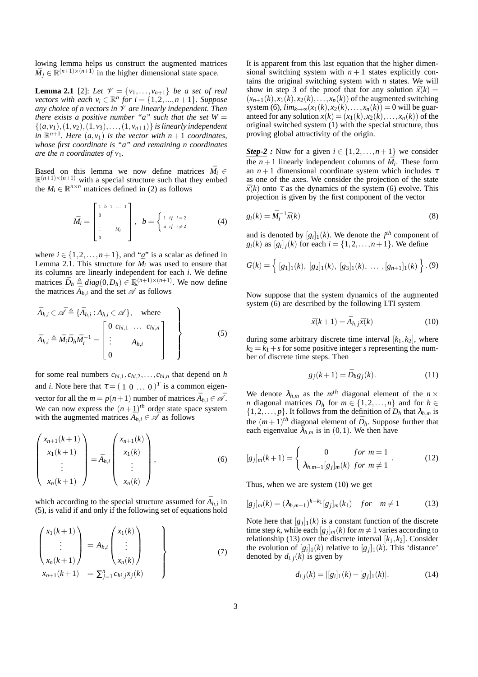lowing lemma helps us construct the augmented matrices  $\bar{M}_j \in \mathbb{R}^{(n+1)\times(n+1)}$  in the higher dimensional state space.

**Lemma 2.1** [2]: Let  $\mathcal{V} = \{v_1, \ldots, v_{n+1}\}$  be a set of real *vectors with each*  $v_i \in \mathbb{R}^n$  *for*  $i = \{1, 2, ..., n+1\}$ *. Suppose any choice of n vectors in* V *are linearly independent. Then there exists a positive number "a" such that the set*  $W =$  $\{(a, v_1), (1, v_2), (1, v_3), \ldots, (1, v_{n+1})\}$  *is linearly independent in*  $\mathbb{R}^{n+1}$ *. Here*  $(a, v_1)$  *is the vector with*  $n+1$  *coordinates, whose first coordinate is "a" and remaining n coordinates are the n coordinates of v*1*.*

Based on this lemma we now define matrices  $\bar{M}_i$  ∈  $\mathbb{R}^{(n+1)\times(n+1)}$  with a special structure such that they embed the  $M_i \in \mathbb{R}^{n \times n}$  matrices defined in (2) as follows

$$
\bar{M}_i = \begin{bmatrix} 1 & b & 1 & \dots & 1 \\ 0 & & & & \\ \vdots & & & & \\ 0 & & & & \\ 0 & & & & \end{bmatrix}, \quad b = \begin{cases} 1 & \text{if } i = 2 \\ a & \text{if } i \neq 2 \end{cases} \tag{4}
$$

where  $i \in \{1, 2, ..., n+1\}$ , and "*a*" is a scalar as defined in Lemma 2.1. This structure for  $\bar{M}_i$  was used to ensure that its columns are linearly independent for each *i*. We define matrices  $\bar{D}_h \triangleq diag(0, D_h) \in \mathbb{R}^{(n+1)\times(n+1)}$ . We now define the matrices  $\overrightarrow{A}_{h,i}$  and the set  $\overrightarrow{A}$  as follows

$$
\bar{A}_{h,i} \in \mathscr{A} \triangleq \{\bar{A}_{h,i} : A_{h,i} \in \mathscr{A}\}, \quad \text{where}
$$
\n
$$
\bar{A}_{h,i} \triangleq \bar{M}_i \bar{D}_h \bar{M}_i^{-1} = \begin{bmatrix} 0 & c_{hi,1} & \dots & c_{hi,n} \\ \vdots & & & \\ 0 & & & \end{bmatrix} \quad \begin{bmatrix} \\ \vdots \\ \\ \vdots \\ \\ \end{bmatrix} \tag{5}
$$

for some real numbers  $c_{hi,1}, c_{hi,2}, \ldots, c_{hi,n}$  that depend on *h* and *i*. Note here that  $\tau = (1 \ 0 \dots 0)^T$  is a common eigenvector for all the  $m = p(n+1)$  number of matrices  $\overline{A}_{h,i} \in \overline{\mathscr{A}}$ . We can now express the  $(n+1)$ <sup>th</sup> order state space system with the augmented matrices  $\overline{A}_{h,i} \in \overline{\mathscr{A}}$  as follows

$$
\begin{pmatrix} x_{n+1}(k+1) \\ x_1(k+1) \\ \vdots \\ x_n(k+1) \end{pmatrix} = \bar{A}_{h,i} \begin{pmatrix} x_{n+1}(k) \\ x_1(k) \\ \vdots \\ x_n(k) \end{pmatrix}, \qquad (6)
$$

which according to the special structure assumed for  $\bar{A}_{h,i}$  in (5), is valid if and only if the following set of equations hold

$$
\begin{pmatrix}\n x_1(k+1) \\
\vdots \\
x_n(k+1)\n\end{pmatrix} = A_{h,i} \begin{pmatrix}\n x_1(k) \\
\vdots \\
x_n(k)\n\end{pmatrix}
$$
\n(7)\n
$$
x_{n+1}(k+1) = \sum_{j=1}^{n} c_{hi,j} x_j(k)
$$

It is apparent from this last equation that the higher dimensional switching system with  $n+1$  states explicitly contains the original switching system with *n* states. We will show in step 3 of the proof that for any solution  $\bar{x}(k) =$  $(x_{n+1}(k), x_1(k), x_2(k), \ldots, x_n(k))$  of the augmented switching system (6),  $\lim_{k \to \infty} (x_1(k), x_2(k), \dots, x_n(k)) = 0$  will be guaranteed for any solution  $x(k) = (x_1(k), x_2(k), \ldots, x_n(k))$  of the original switched system (1) with the special structure, thus proving global attractivity of the origin.

*Step-2 :* Now for a given  $i \in \{1, 2, ..., n+1\}$  we consider  $\overline{\text{the } n+1}$  linearly independent columns of  $\overline{M}_i$ . These form an  $n+1$  dimensional coordinate system which includes  $\tau$ as one of the axes. We consider the projection of the state  $\bar{x}(k)$  onto  $\tau$  as the dynamics of the system (6) evolve. This projection is given by the first component of the vector

$$
g_i(k) = \bar{M}_i^{-1} \bar{x}(k) \tag{8}
$$

and is denoted by  $[g_i]_1(k)$ . We denote the  $j<sup>th</sup>$  component of  $g_i(k)$  as  $[g_i]_j(k)$  for each  $i = \{1, 2, ..., n+1\}$ . We define

$$
G(k) = \left\{ [g_1]_1(k), [g_2]_1(k), [g_3]_1(k), \ldots, [g_{n+1}]_1(k) \right\}.
$$
 (9)

Now suppose that the system dynamics of the augmented system (6) are described by the following LTI system

$$
\bar{x}(k+1) = \bar{A}_{h,j}\bar{x}(k) \tag{10}
$$

during some arbitrary discrete time interval  $[k_1, k_2]$ , where  $k_2 = k_1 + s$  for some positive integer *s* representing the number of discrete time steps. Then

$$
g_j(k+1) = \bar{D}_h g_j(k). \tag{11}
$$

We denote  $\lambda_{h,m}$  as the  $m^{th}$  diagonal element of the  $n \times$ *n* diagonal matrices  $D_h$  for  $m \in \{1, 2, ..., n\}$  and for  $h \in$  $\{1,2,\ldots,p\}$ . It follows from the definition of  $D_h$  that  $\lambda_{h,m}$  is the  $(m+1)$ <sup>th</sup> diagonal element of  $\bar{D}_h$ . Suppose further that each eigenvalue  $\bar{\lambda}_{h,m}$  is in (0,1). We then have

$$
[g_j]_m(k+1) = \begin{cases} 0 & \text{for } m = 1\\ \lambda_{h,m-1}[g_j]_m(k) & \text{for } m \neq 1 \end{cases} .
$$
 (12)

Thus, when we are system (10) we get

$$
[g_j]_m(k) = (\lambda_{h,m-1})^{k-k_1} [g_j]_m(k_1) \quad \text{for} \quad m \neq 1 \tag{13}
$$

Note here that  $[g_j]_1(k)$  is a constant function of the discrete time step *k*, while each  $[g_j]_m(k)$  for  $m \neq 1$  varies according to relationship (13) over the discrete interval [*k*1,*k*2]. Consider the evolution of  $[g_i]_1(k)$  relative to  $[g_j]_1(k)$ . This 'distance' denoted by  $d_{i,j}(k)$  is given by

$$
d_{i,j}(k) = |[g_i]_1(k) - [g_j]_1(k)|.
$$
 (14)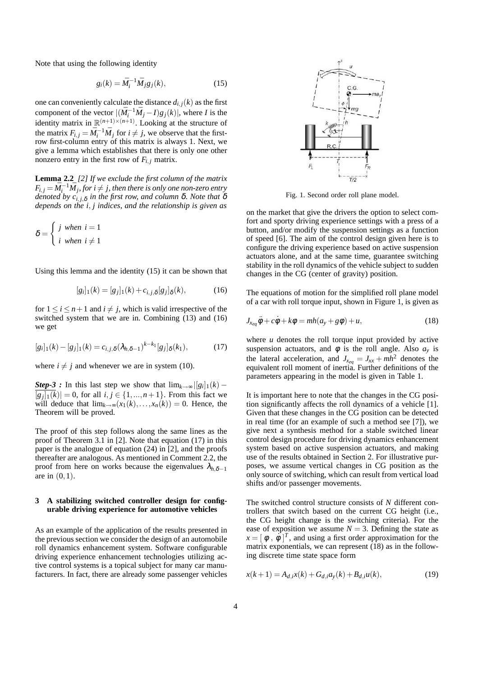Note that using the following identity

$$
g_i(k) = \overline{M}_i^{-1} \overline{M}_j g_j(k), \qquad (15)
$$

one can conveniently calculate the distance  $d_{i,j}(k)$  as the first component of the vector  $|(\bar{M}_i^{-1}\bar{M}_j - I)g_j(k)|$ , where *I* is the identity matrix in  $\mathbb{R}^{(n+1)\times(n+1)}$ . Looking at the structure of the matrix  $F_{i,j} = \overline{M}_i^{-1} \overline{M}_j$  for  $i \neq j$ , we observe that the firstrow first-column entry of this matrix is always 1. Next, we give a lemma which establishes that there is only one other nonzero entry in the first row of  $F_{i,j}$  matrix.

**Lemma 2.2** *[2] If we exclude the first column of the matrix*  $F_{i,j} = \bar{M}_i^{-1} \bar{M}_j,$  for  $i \neq j,$  then there is only one non-zero entry *denoted by ci*, *<sup>j</sup>*,<sup>δ</sup> *in the first row, and column* δ*. Note that* δ *depends on the i*, *j indices, and the relationship is given as*

$$
\delta = \begin{cases} j & \text{when } i = 1 \\ i & \text{when } i \neq 1 \end{cases}
$$

Using this lemma and the identity (15) it can be shown that

$$
[g_i]_1(k) = [g_j]_1(k) + c_{i,j,\delta}[g_j]_\delta(k),
$$
 (16)

for  $1 \le i \le n+1$  and  $i \ne j$ , which is valid irrespective of the switched system that we are in. Combining (13) and (16) we get

$$
[g_i]_1(k) - [g_j]_1(k) = c_{i,j,\delta}(\lambda_{h,\delta-1})^{k-k_1}[g_j]_\delta(k_1),
$$
 (17)

where  $i \neq j$  and whenever we are in system (10).

*Step-3* : In this last step we show that  $\lim_{k \to \infty} |[g_i]_1(k)$  –  $[g_j]_1(k) = 0$ , for all  $i, j \in \{1, ..., n+1\}$ . From this fact we will deduce that  $\lim_{k\to\infty}$  $(x_1(k),...,x_n(k))=0$ . Hence, the Theorem will be proved.

The proof of this step follows along the same lines as the proof of Theorem 3.1 in [2]. Note that equation (17) in this paper is the analogue of equation (24) in [2], and the proofs thereafter are analogous. As mentioned in Comment 2.2, the proof from here on works because the eigenvalues  $\lambda_{h,\delta-1}$ are in  $(0,1)$ .

## **3 A stabilizing switched controller design for configurable driving experience for automotive vehicles**

As an example of the application of the results presented in the previous section we consider the design of an automobile roll dynamics enhancement system. Software configurable driving experience enhancement technologies utilizing active control systems is a topical subject for many car manufacturers. In fact, there are already some passenger vehicles



Fig. 1. Second order roll plane model.

on the market that give the drivers the option to select comfort and sporty driving experience settings with a press of a button, and/or modify the suspension settings as a function of speed [6]. The aim of the control design given here is to configure the driving experience based on active suspension actuators alone, and at the same time, guarantee switching stability in the roll dynamics of the vehicle subject to sudden changes in the CG (center of gravity) position.

The equations of motion for the simplified roll plane model of a car with roll torque input, shown in Figure 1, is given as

$$
J_{x_{eq}}\ddot{\phi} + c\dot{\phi} + k\phi = mh(a_y + g\phi) + u,\tag{18}
$$

where  $u$  denotes the roll torque input provided by active suspension actuators, and  $\phi$  is the roll angle. Also  $a_y$  is the lateral acceleration, and  $J_{x_{eq}} = J_{xx} + mh^2$  denotes the equivalent roll moment of inertia. Further definitions of the parameters appearing in the model is given in Table 1.

It is important here to note that the changes in the CG position significantly affects the roll dynamics of a vehicle [1]. Given that these changes in the CG position can be detected in real time (for an example of such a method see [7]), we give next a synthesis method for a stable switched linear control design procedure for driving dynamics enhancement system based on active suspension actuators, and making use of the results obtained in Section 2. For illustrative purposes, we assume vertical changes in CG position as the only source of switching, which can result from vertical load shifts and/or passenger movements.

The switched control structure consists of *N* different controllers that switch based on the current CG height (i.e., the CG height change is the switching criteria). For the ease of exposition we assume  $N = 3$ . Defining the state as  $x = [\phi, \dot{\phi}]^T$ , and using a first order approximation for the matrix exponentials, we can represent  $(18)$  as in the following discrete time state space form

$$
x(k+1) = A_{d,i}x(k) + G_{d,i}a_y(k) + B_{d,i}u(k),
$$
\n(19)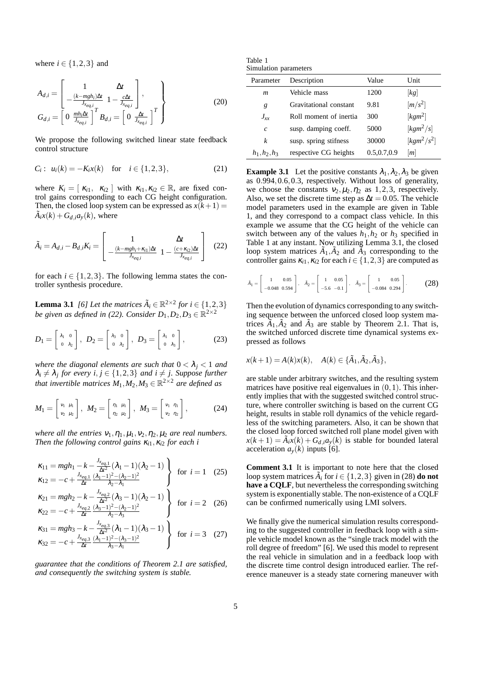where  $i \in \{1, 2, 3\}$  and

$$
A_{d,i} = \begin{bmatrix} 1 & \Delta t \\ -\frac{(k - mgh_i)\Delta t}{J_{x_{eq,i}}} & 1 - \frac{c\Delta t}{J_{x_{eq,i}}} \\ 0 & \frac{mh_i\Delta t}{J_{x_{eq,i}}} \end{bmatrix},
$$
  
\n
$$
G_{d,i} = \begin{bmatrix} 0 & \frac{mh_i\Delta t}{J_{x_{eq,i}}} \end{bmatrix}^T B_{d,i} = \begin{bmatrix} 0 & \frac{\Delta t}{J_{x_{eq,i}}} \end{bmatrix}^T
$$
\n(20)

We propose the following switched linear state feedback control structure

$$
C_i: u_i(k) = -K_i x(k) \text{ for } i \in \{1, 2, 3\},
$$
 (21)

where  $K_i = [\kappa_{i1}, \kappa_{i2}]$  with  $\kappa_{i1}, \kappa_{i2} \in \mathbb{R}$ , are fixed control gains corresponding to each CG height configuration. Then, the closed loop system can be expressed as  $x(k+1) =$  $\tilde{A}_i x(k) + G_{d,i} a_y(k)$ , where

$$
\tilde{A}_i = A_{d,i} - B_{d,i} K_i = \begin{bmatrix} 1 & \Delta t \\ -\frac{(k - mgh_i + \kappa_{i1})\Delta t}{J_{x_{eq,i}}} & 1 - \frac{(c + \kappa_{i2})\Delta t}{J_{x_{eq,i}}} \end{bmatrix}
$$
(22)

for each  $i \in \{1,2,3\}$ . The following lemma states the controller synthesis procedure.

**Lemma 3.1** *[6] Let the matrices*  $\tilde{A}_i \in \mathbb{R}^{2 \times 2}$  *for*  $i \in \{1,2,3\}$ *be given as defined in (22). Consider*  $D_1, D_2, D_3 \in \mathbb{R}^{2 \times 2}$ 

$$
D_1 = \begin{bmatrix} \lambda_1 & 0 \\ 0 & \lambda_2 \end{bmatrix}, \ D_2 = \begin{bmatrix} \lambda_3 & 0 \\ 0 & \lambda_2 \end{bmatrix}, \ D_3 = \begin{bmatrix} \lambda_1 & 0 \\ 0 & \lambda_3 \end{bmatrix}, \tag{23}
$$

*where the diagonal elements are such that*  $0 < \lambda_j < 1$  *and*  $\lambda_i \neq \lambda_j$  for every  $i, j \in \{1, 2, 3\}$  and  $i \neq j$ . Suppose further *that invertible matrices*  $M_1, M_2, M_3 \in \mathbb{R}^{2 \times 2}$  are defined as

$$
M_1 = \begin{bmatrix} v_1 & \mu_1 \\ v_2 & \mu_2 \end{bmatrix}, \ M_2 = \begin{bmatrix} \eta_1 & \mu_1 \\ \eta_2 & \mu_2 \end{bmatrix}, \ M_3 = \begin{bmatrix} v_1 & \eta_1 \\ v_2 & \eta_2 \end{bmatrix}, \tag{24}
$$

*where all the entries*  $v_1$ ,  $\eta_1$ ,  $\mu_1$ ,  $v_2$ ,  $\eta_2$ ,  $\mu_2$  *are real numbers. Then the following control gains*  $\kappa_{i1}$ ,  $\kappa_{i2}$  *for each i* 

$$
\kappa_{11} = mgh_1 - k - \frac{J_{x_{eq,1}}}{\Delta t^2} (\lambda_1 - 1)(\lambda_2 - 1) \}\n\text{for } i = 1 \quad (25)
$$
\n
$$
\kappa_{12} = -c + \frac{J_{x_{eq,1}}}{\Delta t} \frac{(\lambda_1 - 1)^2 - (\lambda_2 - 1)^2}{\lambda_2 - \lambda_1}
$$

$$
\kappa_{21} = mgh_2 - k - \frac{J_{x_{eq,2}}}{\Delta t^2} (\lambda_3 - 1)(\lambda_2 - 1) \}\n\kappa_{22} = -c + \frac{J_{x_{eq,2}}}{\Delta t} \frac{(\lambda_3 - 1)^2 - (\lambda_2 - 1)^2}{\lambda_2 - \lambda_3} \quad \text{for } i = 2 \quad (26)
$$

$$
\kappa_{31} = mgh_3 - k - \frac{J_{x_{eq,3}}}{\Delta t^2} (\lambda_1 - 1)(\lambda_3 - 1)
$$
\n
$$
\kappa_{32} = -c + \frac{J_{x_{eq,3}}}{\Delta t} \frac{(\lambda_1 - 1)^2 - (\lambda_3 - 1)^2}{\lambda_3 - \lambda_1}
$$
 for  $i = 3$  (27)

*guarantee that the conditions of Theorem 2.1 are satisfied, and consequently the switching system is stable.*

| Table 1               |  |
|-----------------------|--|
| Simulation parameters |  |

| Parameter        | Description            | Value       | Unit                             |
|------------------|------------------------|-------------|----------------------------------|
| $\boldsymbol{m}$ | Vehicle mass           | 1200        | $\left[kg\right]$                |
| g                | Gravitational constant | 9.81        | $\left\lceil m/s^2 \right\rceil$ |
| $J_{xx}$         | Roll moment of inertia | 300         | $[kgm^2]$                        |
| $\mathcal{C}$    | susp. damping coeff.   | 5000        | $\left[kgm^2/s\right]$           |
| k                | susp. spring stifness  | 30000       | $\left[kgm^2/s^2\right]$         |
| $h_1, h_2, h_3$  | respective CG heights  | 0.5,0.7,0.9 | m                                |

**Example 3.1** Let the positive constants  $\lambda_1, \lambda_2, \lambda_3$  be given as 0.994,0.6,0.3, respectively. Without loss of generality, we choose the constants  $v_2, \mu_2, \eta_2$  as 1,2,3, respectively. Also, we set the discrete time step as  $\Delta t = 0.05$ . The vehicle model parameters used in the example are given in Table 1, and they correspond to a compact class vehicle. In this example we assume that the CG height of the vehicle can switch between any of the values  $h_1, h_2$  or  $h_3$  specified in Table 1 at any instant. Now utilizing Lemma 3.1, the closed loop system matrices  $\tilde{A}_1$ ,  $\tilde{A}_2$  and  $\tilde{A}_3$  corresponding to the controller gains  $\kappa_{i1}, \kappa_{i2}$  for each  $i \in \{1, 2, 3\}$  are computed as

$$
\bar{A}_1 = \begin{bmatrix} 1 & 0.05 \\ -0.048 & 0.594 \end{bmatrix}, \quad \bar{A}_2 = \begin{bmatrix} 1 & 0.05 \\ -5.6 & -0.1 \end{bmatrix}, \quad \bar{A}_3 = \begin{bmatrix} 1 & 0.05 \\ -0.084 & 0.294 \end{bmatrix}.
$$
 (28)

Then the evolution of dynamics corresponding to any switching sequence between the unforced closed loop system matrices  $\tilde{A}_1$ ,  $\tilde{A}_2$  and  $\tilde{A}_3$  are stable by Theorem 2.1. That is, the switched unforced discrete time dynamical systems expressed as follows

$$
x(k+1) = A(k)x(k), \quad A(k) \in {\tilde{A}_1, \tilde{A}_2, \tilde{A}_3},
$$

are stable under arbitrary switches, and the resulting system matrices have positive real eigenvalues in  $(0,1)$ . This inherently implies that with the suggested switched control structure, where controller switching is based on the current CG height, results in stable roll dynamics of the vehicle regardless of the switching parameters. Also, it can be shown that the closed loop forced switched roll plane model given with  $x(k+1) = \tilde{A}_i \dot{x}(k) + G_{d,i} a_y(k)$  is stable for bounded lateral acceleration  $a<sub>y</sub>(k)$  inputs [6].

**Comment 3.1** It is important to note here that the closed loop system matrices  $\overrightarrow{A}_i$  for  $i \in \{1,2,3\}$  given in (28) **do not have a CQLF**, but nevertheless the corresponding switching system is exponentially stable. The non-existence of a CQLF can be confirmed numerically using LMI solvers.

We finally give the numerical simulation results corresponding to the suggested controller in feedback loop with a simple vehicle model known as the "single track model with the roll degree of freedom" [6]. We used this model to represent the real vehicle in simulation and in a feedback loop with the discrete time control design introduced earlier. The reference maneuver is a steady state cornering maneuver with